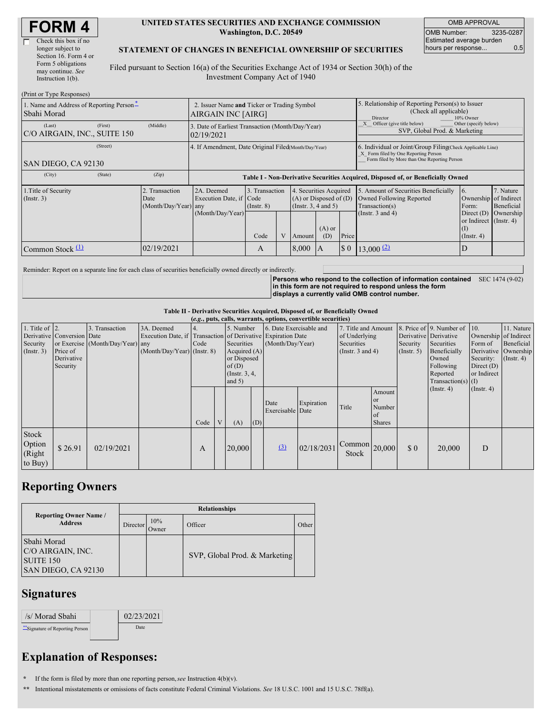| <b>FORM4</b> |
|--------------|
|--------------|

| Check this box if no  |
|-----------------------|
| longer subject to     |
| Section 16. Form 4 or |
| Form 5 obligations    |
| may continue. See     |
| Instruction 1(b).     |
|                       |

#### **UNITED STATES SECURITIES AND EXCHANGE COMMISSION Washington, D.C. 20549**

OMB APPROVAL OMB Number: 3235-0287 Estimated average burden hours per response... 0.5

### **STATEMENT OF CHANGES IN BENEFICIAL OWNERSHIP OF SECURITIES**

Filed pursuant to Section 16(a) of the Securities Exchange Act of 1934 or Section 30(h) of the Investment Company Act of 1940

| (Print or Type Responses)                               |                                                      |                                                                                                                                                        |                                   |  |        |                                                                                                                                                                                                                       |                                                                                                     |                         |                                                                   |           |  |
|---------------------------------------------------------|------------------------------------------------------|--------------------------------------------------------------------------------------------------------------------------------------------------------|-----------------------------------|--|--------|-----------------------------------------------------------------------------------------------------------------------------------------------------------------------------------------------------------------------|-----------------------------------------------------------------------------------------------------|-------------------------|-------------------------------------------------------------------|-----------|--|
| 1. Name and Address of Reporting Person-<br>Sbahi Morad |                                                      | 2. Issuer Name and Ticker or Trading Symbol<br>AIRGAIN INC [AIRG]                                                                                      |                                   |  |        |                                                                                                                                                                                                                       | 5. Relationship of Reporting Person(s) to Issuer<br>(Check all applicable)<br>10% Owner<br>Director |                         |                                                                   |           |  |
| (First)<br>(Last)<br>C/O AIRGAIN, INC., SUITE 150       | (Middle)                                             | Other (specify below)<br>Officer (give title below)<br>3. Date of Earliest Transaction (Month/Day/Year)<br>SVP, Global Prod. & Marketing<br>02/19/2021 |                                   |  |        |                                                                                                                                                                                                                       |                                                                                                     |                         |                                                                   |           |  |
| (Street)<br>SAN DIEGO, CA 92130                         | 4. If Amendment, Date Original Filed(Month/Day/Year) |                                                                                                                                                        |                                   |  |        | 6. Individual or Joint/Group Filing Check Applicable Line)<br>X Form filed by One Reporting Person<br>Form filed by More than One Reporting Person                                                                    |                                                                                                     |                         |                                                                   |           |  |
| (State)<br>(City)                                       | (Zip)                                                | Table I - Non-Derivative Securities Acquired, Disposed of, or Beneficially Owned                                                                       |                                   |  |        |                                                                                                                                                                                                                       |                                                                                                     |                         |                                                                   |           |  |
| 1. Title of Security<br>(Insert. 3)                     | 2. Transaction<br>Date<br>(Month/Day/Year) any       | 2A. Deemed<br>Execution Date, if Code                                                                                                                  | 3. Transaction<br>$($ Instr. $8)$ |  |        | 5. Amount of Securities Beneficially<br>4. Securities Acquired<br><sup>6.</sup><br>$(A)$ or Disposed of $(D)$<br>Owned Following Reported<br>Ownership of Indirect<br>(Insert. 3, 4 and 5)<br>Transaction(s)<br>Form: |                                                                                                     |                         | 7. Nature<br>Beneficial                                           |           |  |
|                                                         |                                                      | (Month/Day/Year)                                                                                                                                       | Code                              |  | Amount | $(A)$ or<br>(D)                                                                                                                                                                                                       | Price                                                                                               | (Instr. 3 and 4)        | Direct $(D)$<br>or Indirect (Instr. 4)<br>(I)<br>$($ Instr. 4 $)$ | Ownership |  |
| Common Stock $\Pi$                                      | 02/19/2021                                           |                                                                                                                                                        | A                                 |  | 8.000  | A                                                                                                                                                                                                                     | $\boldsymbol{\mathsf{S}}$ 0                                                                         | $13,000$ <sup>(2)</sup> | D                                                                 |           |  |

Reminder: Report on a separate line for each class of securities beneficially owned directly or indirectly.

**Persons who respond to the collection of information contained** SEC 1474 (9-02) **in this form are not required to respond unless the form displays a currently valid OMB control number.**

**Table II - Derivative Securities Acquired, Disposed of, or Beneficially Owned**

|                        |                            |                                  |                                                              |      |   |                 |     |                         | (e.g., puts, calls, warrants, options, convertible securities) |                               |               |                       |                              |                       |                      |
|------------------------|----------------------------|----------------------------------|--------------------------------------------------------------|------|---|-----------------|-----|-------------------------|----------------------------------------------------------------|-------------------------------|---------------|-----------------------|------------------------------|-----------------------|----------------------|
| 1. Title of $\vert$ 2. |                            | 3. Transaction                   | 3A. Deemed                                                   |      |   | 5. Number       |     | 6. Date Exercisable and |                                                                | 7. Title and Amount           |               |                       | 8. Price of 9. Number of 10. |                       | 11. Nature           |
|                        | Derivative Conversion Date |                                  | Execution Date, if Transaction of Derivative Expiration Date |      |   |                 |     |                         |                                                                | of Underlying                 |               | Derivative Derivative |                              | Ownership of Indirect |                      |
| Security               |                            | or Exercise (Month/Day/Year) any |                                                              | Code |   | Securities      |     | (Month/Day/Year)        |                                                                | <b>Securities</b>             |               | Security              | Securities                   | Form of               | Beneficial           |
| (Insert. 3)            | Price of                   |                                  | $(Month/Day/Year)$ (Instr. 8)                                |      |   | Acquired $(A)$  |     |                         |                                                                | (Instr. $3$ and $4$ )         |               | $($ Instr. 5 $)$      | Beneficially                 |                       | Derivative Ownership |
|                        | Derivative                 |                                  |                                                              |      |   | or Disposed     |     |                         |                                                                |                               |               |                       | Owned                        | Security:             | $($ Instr. 4 $)$     |
|                        | Security                   |                                  |                                                              |      |   | of $(D)$        |     |                         |                                                                |                               |               |                       | Following                    | Direct $(D)$          |                      |
|                        |                            |                                  |                                                              |      |   | (Instr. $3, 4,$ |     |                         |                                                                |                               |               |                       | Reported                     | or Indirect           |                      |
|                        |                            |                                  |                                                              |      |   | and $5)$        |     |                         |                                                                |                               |               |                       | $Transaction(s)$ (I)         |                       |                      |
|                        |                            |                                  |                                                              |      |   |                 |     |                         |                                                                |                               | Amount        |                       | $($ Instr. 4 $)$             | (Insert. 4)           |                      |
|                        |                            |                                  |                                                              |      |   |                 |     | Date                    | Expiration                                                     |                               | <b>or</b>     |                       |                              |                       |                      |
|                        |                            |                                  |                                                              |      |   |                 |     | Exercisable Date        |                                                                | Title                         | Number        |                       |                              |                       |                      |
|                        |                            |                                  |                                                              |      |   |                 |     |                         |                                                                |                               | <sub>of</sub> |                       |                              |                       |                      |
|                        |                            |                                  |                                                              | Code | V | (A)             | (D) |                         |                                                                |                               | <b>Shares</b> |                       |                              |                       |                      |
| Stock                  |                            |                                  |                                                              |      |   |                 |     |                         |                                                                |                               |               |                       |                              |                       |                      |
| Option                 |                            |                                  |                                                              |      |   |                 |     |                         |                                                                |                               |               |                       |                              |                       |                      |
|                        | \$26.91                    | 02/19/2021                       |                                                              | A    |   | 20,000          |     | (3)                     | 02/18/2031                                                     | $\vert$ Common $\vert$ 20,000 |               | \$0                   | 20,000                       | D                     |                      |
| (Right                 |                            |                                  |                                                              |      |   |                 |     |                         |                                                                | <b>Stock</b>                  |               |                       |                              |                       |                      |
| to Buy)                |                            |                                  |                                                              |      |   |                 |     |                         |                                                                |                               |               |                       |                              |                       |                      |

## **Reporting Owners**

|                                                                             | <b>Relationships</b> |                     |                               |       |  |  |  |  |  |
|-----------------------------------------------------------------------------|----------------------|---------------------|-------------------------------|-------|--|--|--|--|--|
| <b>Reporting Owner Name /</b><br><b>Address</b>                             | Director             | 10%<br><b>Jwner</b> | Officer                       | Other |  |  |  |  |  |
| Sbahi Morad<br>C/O AIRGAIN, INC.<br><b>SUITE 150</b><br>SAN DIEGO, CA 92130 |                      |                     | SVP, Global Prod. & Marketing |       |  |  |  |  |  |

### **Signatures**

| /s/ Morad Sbahi                | 02/23/2021 |
|--------------------------------|------------|
| "Signature of Reporting Person | Date       |

# **Explanation of Responses:**

**\*** If the form is filed by more than one reporting person,*see* Instruction 4(b)(v).

**\*\*** Intentional misstatements or omissions of facts constitute Federal Criminal Violations. *See* 18 U.S.C. 1001 and 15 U.S.C. 78ff(a).